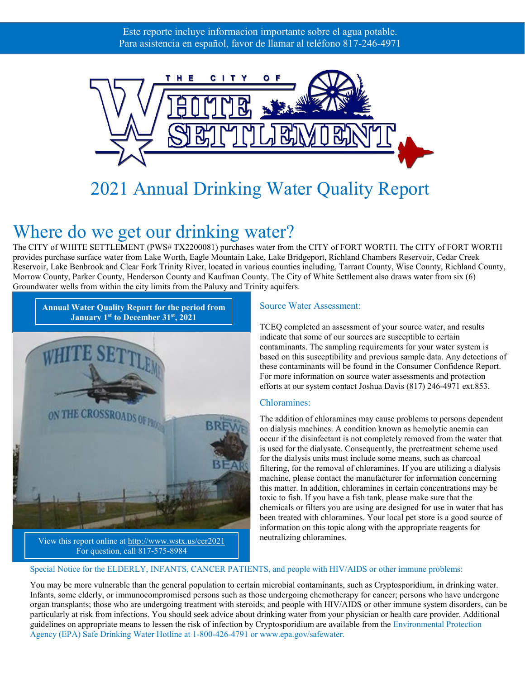

# 2021 Annual Drinking Water Quality Report

# Where do we get our drinking water?

The CITY of WHITE SETTLEMENT (PWS# TX2200081) purchases water from the CITY of FORT WORTH. The CITY of FORT WORTH provides purchase surface water from Lake Worth, Eagle Mountain Lake, Lake Bridgeport, Richland Chambers Reservoir, Cedar Creek Reservoir, Lake Benbrook and Clear Fork Trinity River, located in various counties including, Tarrant County, Wise County, Richland County, Morrow County, Parker County, Henderson County and Kaufman County. The City of White Settlement also draws water from six (6) Groundwater wells from within the city limits from the Paluxy and Trinity aquifers.



#### Source Water Assessment:

TCEQ completed an assessment of your source water, and results indicate that some of our sources are susceptible to certain contaminants. The sampling requirements for your water system is based on this susceptibility and previous sample data. Any detections of these contaminants will be found in the Consumer Confidence Report. For more information on source water assessments and protection efforts at our system contact Joshua Davis (817) 246-4971 ext.853.

#### Chloramines:

The addition of chloramines may cause problems to persons dependent on dialysis machines. A condition known as hemolytic anemia can occur if the disinfectant is not completely removed from the water that is used for the dialysate. Consequently, the pretreatment scheme used for the dialysis units must include some means, such as charcoal filtering, for the removal of chloramines. If you are utilizing a dialysis machine, please contact the manufacturer for information concerning this matter. In addition, chloramines in certain concentrations may be toxic to fish. If you have a fish tank, please make sure that the chemicals or filters you are using are designed for use in water that has been treated with chloramines. Your local pet store is a good source of information on this topic along with the appropriate reagents for neutralizing chloramines.

#### Special Notice for the ELDERLY, INFANTS, CANCER PATIENTS, and people with HIV/AIDS or other immune problems:

You may be more vulnerable than the general population to certain microbial contaminants, such as Cryptosporidium, in drinking water. Infants, some elderly, or immunocompromised persons such as those undergoing chemotherapy for cancer; persons who have undergone organ transplants; those who are undergoing treatment with steroids; and people with HIV/AIDS or other immune system disorders, can be particularly at risk from infections. You should seek advice about drinking water from your physician or health care provider. Additional guidelines on appropriate means to lessen the risk of infection by Cryptosporidium are available from the Environmental Protection Agency (EPA) Safe Drinking Water Hotline at 1-800-426-4791 or www.epa.gov/safewater.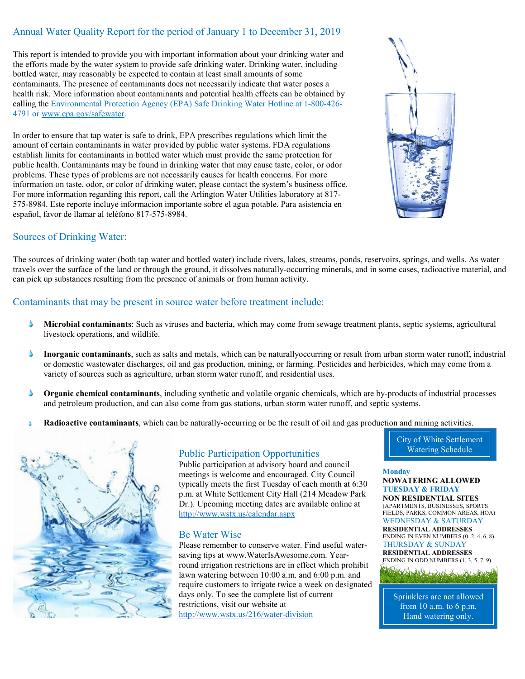#### Annual Water Quality Report for the period of January 1 to December 31, 2019

This report is intended to provide you with important information about your drinking water and the efforts made by the water system to provide safe drinking water. Drinking water, including bottled water, may reasonably be expected to contain at least small amounts of some contaminants. The presence of contaminants does not necessarily indicate that water poses a health risk. More information about contaminants and potential health effects can be obtained by calling the Environmental Protection Agency (EPA) Safe Drinking Water Hotline at 1-800-426 4791 or [www.epa.gov/safewater.](http://www.epa.gov/safewater)

In order to ensure that tap water is safe to drink, EPA prescribes regulations which limit the amount of certain contaminants in water provided by public water systems. FDA regulations establish limits for contaminants in bottled water which must provide the same protection for public health. Contaminants may be found in drinking water that may cause taste, color, or odor problems. These types of problems are not necessarily causes for health concerns. For more information on taste, odor, or color of drinking water, please contact the system's business office. For more information regarding this report, call the Arlington Water Utilities laboratory at 817- 575-8984. Este reporte incluye informacion importante sobre el agua potable. Para asistencia en español, favor de llamar al teléfono 817-575-8984.

#### Sources of Drinking Water:

The sources of drinking water (both tap water and bottled water) include rivers, lakes, streams, ponds, reservoirs, springs, and wells. As water travels over the surface of the land or through the ground, it dissolves naturally-occurring minerals, and in some cases, radioactive material, and can pick up substances resulting from the presence of animals or from human activity.

#### Contaminants that may be present in source water before treatment include:

- **Microbial contaminants**: Such as viruses and bacteria, which may come from sewage treatment plants, septic systems, agricultural Δ livestock operations, and wildlife.
- $\blacktriangle$ **Inorganic contaminants**, such as salts and metals, which can be naturallyoccurring or result from urban storm water runoff, industrial or domestic wastewater discharges, oil and gas production, mining, or farming. Pesticides and herbicides, which may come from a variety of sources such as agriculture, urban storm water runoff, and residential uses.
- **Organic chemical contaminants**, including synthetic and volatile organic chemicals, which are by-products of industrial processes and petroleum production, and can also come from gas stations, urban storm water runoff, and septic systems.
- **Radioactive contaminants**, which can be naturally-occurring or be the result of oil and gas production and mining activities.



#### Public Participation Opportunities

Public participation at advisory board and council meetings is welcome and encouraged. City Council typically meets the first Tuesday of each month at 6:30 p.m. at White Settlement City Hall (214 Meadow Park Dr.). Upcoming meeting dates are available online at <http://www.wstx.us/calendar.aspx>

#### Be Water Wise

Please remember to conserve water. Find useful watersaving tips at www.WaterIsAwesome.com. Yearround irrigation restrictions are in effect which prohibit lawn watering between 10:00 a.m. and 6:00 p.m. and require customers to irrigate twice a week on designated days only. To see the complete list of current restrictions, visit our website at <http://www.wstx.us/216/water-division>

City of White Settlement Watering Schedule

#### **Monday NOWATERING ALLOWED TUESDAY & FRIDAY NON RESIDENTIAL SITES** (APARTMENTS, BUSINESSES, SPORTS FIELDS, PARKS, COMMON AREAS, HOA) WEDNESDAY & SATURDAY **RESIDENTIAL ADDRESSES** ENDING IN EVEN NUMBERS (0, 2, 4, 6, 8)

THURSDAY & SUNDAY **RESIDENTIAL ADDRESSES** ENDING IN ODD NUMBERS (1, 3, 5, 7, 9)



Sprinklers are not allowed from 10 a.m. to 6 p.m. Hand watering only.

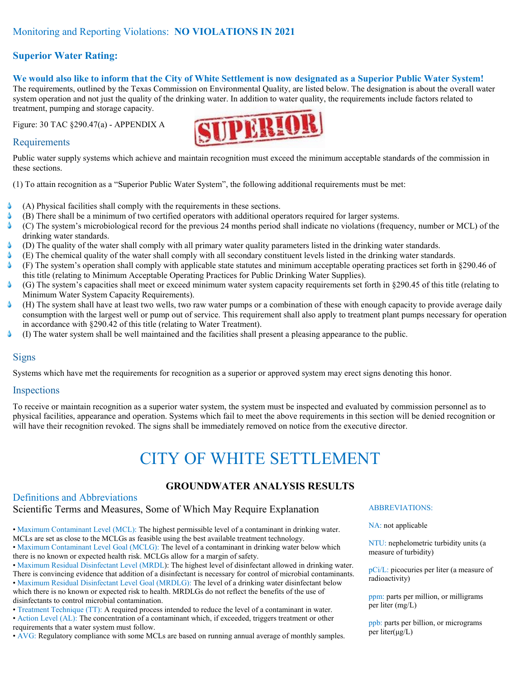#### **Superior Water Rating:**

#### **We would also like to inform that the City of White Settlement is now designated as a Superior Public Water System!**

The requirements, outlined by the Texas Commission on Environmental Quality, are listed below. The designation is about the overall water system operation and not just the quality of the drinking water. In addition to water quality, the requirements include factors related to treatment, pumping and storage capacity.

Figure: 30 TAC §290.47(a) - APPENDIX A



#### Requirements

Public water supply systems which achieve and maintain recognition must exceed the minimum acceptable standards of the commission in these sections.

(1) To attain recognition as a "Superior Public Water System", the following additional requirements must be met:

- Δ (A) Physical facilities shall comply with the requirements in these sections.
- Δ (B) There shall be a minimum of two certified operators with additional operators required for larger systems.
- Δ (C) The system's microbiological record for the previous 24 months period shall indicate no violations (frequency, number or MCL) of the drinking water standards.
- $\blacklozenge$ (D) The quality of the water shall comply with all primary water quality parameters listed in the drinking water standards.
- Δ (E) The chemical quality of the water shall comply with all secondary constituent levels listed in the drinking water standards.
- Δ (F) The system's operation shall comply with applicable state statutes and minimum acceptable operating practices set forth in §290.46 of this title (relating to Minimum Acceptable Operating Practices for Public Drinking Water Supplies).
- Δ (G) The system's capacities shall meet or exceed minimum water system capacity requirements set forth in §290.45 of this title (relating to Minimum Water System Capacity Requirements).
- (H) The system shall have at least two wells, two raw water pumps or a combination of these with enough capacity to provide average daily Δ consumption with the largest well or pump out of service. This requirement shall also apply to treatment plant pumps necessary for operation in accordance with §290.42 of this title (relating to Water Treatment).
- (I) The water system shall be well maintained and the facilities shall present a pleasing appearance to the public. Δ

#### Signs

Systems which have met the requirements for recognition as a superior or approved system may erect signs denoting this honor.

#### **Inspections**

To receive or maintain recognition as a superior water system, the system must be inspected and evaluated by commission personnel as to physical facilities, appearance and operation. Systems which fail to meet the above requirements in this section will be denied recognition or will have their recognition revoked. The signs shall be immediately removed on notice from the executive director.

# CITY OF WHITE SETTLEMENT

#### **GROUNDWATER ANALYSIS RESULTS**

### Definitions and Abbreviations

Scientific Terms and Measures, Some of Which May Require Explanation

• Maximum Contaminant Level (MCL): The highest permissible level of a contaminant in drinking water. MCLs are set as close to the MCLGs as feasible using the best available treatment technology.

• Maximum Contaminant Level Goal (MCLG): The level of a contaminant in drinking water below which there is no known or expected health risk. MCLGs allow for a margin of safety.

• Maximum Residual Disinfectant Level (MRDL): The highest level of disinfectant allowed in drinking water. There is convincing evidence that addition of a disinfectant is necessary for control of microbial contaminants.

• Maximum Residual Disinfectant Level Goal (MRDLG): The level of a drinking water disinfectant below which there is no known or expected risk to health. MRDLGs do not reflect the benefits of the use of disinfectants to control microbial contamination.

• Treatment Technique (TT): A required process intended to reduce the level of a contaminant in water. • Action Level (AL): The concentration of a contaminant which, if exceeded, triggers treatment or other requirements that a water system must follow.

• AVG: Regulatory compliance with some MCLs are based on running annual average of monthly samples.

#### ABBREVIATIONS:

NA: not applicable

NTU: nephelometric turbidity units (a measure of turbidity)

pCi/L: picocuries per liter (a measure of radioactivity)

ppm: parts per million, or milligrams per liter (mg/L)

ppb: parts per billion, or micrograms per liter(μg/L)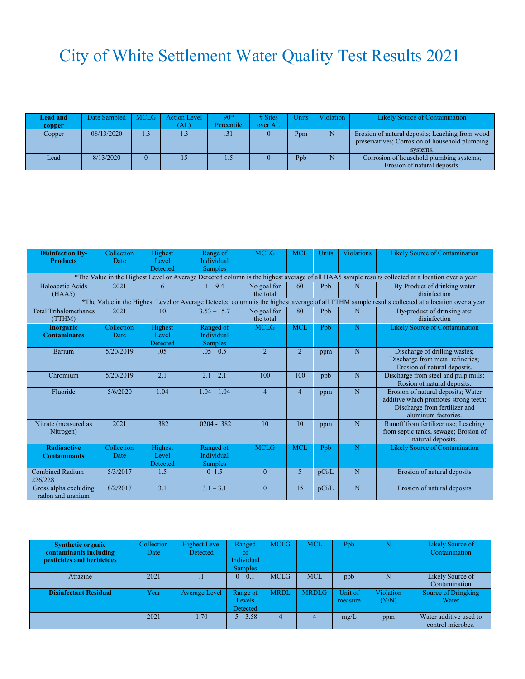# City of White Settlement Water Quality Test Results 2021

| <b>Lead and</b> | Date Sampled   MCLG |     | <b>Action Level</b> | 90 <sup>th</sup> | $# \n  Stes$ | <b>Units</b> | Violation | <b>Likely Source of Contamination</b>           |
|-----------------|---------------------|-----|---------------------|------------------|--------------|--------------|-----------|-------------------------------------------------|
| copper          |                     |     | ΆĽ                  | Percentile       | over AL      |              |           |                                                 |
| Copper          | 08/13/2020          | 1.3 | 1.3                 | .31              |              | Ppm          |           | Erosion of natural deposits; Leaching from wood |
|                 |                     |     |                     |                  |              |              |           | preservatives; Corrosion of household plumbing  |
|                 |                     |     |                     |                  |              |              |           | systems.                                        |
| Lead            | 8/13/2020           |     |                     | 1.5              |              | Ppb          |           | Corrosion of household plumbing systems;        |
|                 |                     |     |                     |                  |              |              |           | Erosion of natural deposits.                    |

| <b>Disinfection By-</b>                                                                                                                          | Collection | Highest  | Range of          | <b>MCLG</b>    | <b>MCL</b>     | Units | <b>Violations</b> | <b>Likely Source of Contamination</b> |  |  |
|--------------------------------------------------------------------------------------------------------------------------------------------------|------------|----------|-------------------|----------------|----------------|-------|-------------------|---------------------------------------|--|--|
| <b>Products</b>                                                                                                                                  | Date       | Level    | <b>Individual</b> |                |                |       |                   |                                       |  |  |
|                                                                                                                                                  |            | Detected | <b>Samples</b>    |                |                |       |                   |                                       |  |  |
| *The Value in the Highest Level or Average Detected column is the highest average of all HAA5 sample results collected at a location over a year |            |          |                   |                |                |       |                   |                                       |  |  |
| Haloacetic Acids                                                                                                                                 | 2021       | 6        | $1 - 9.4$         | No goal for    | 60             | Ppb   | N                 | By-Product of drinking water          |  |  |
| (HAA5)                                                                                                                                           |            |          |                   | the total      |                |       |                   | disinfection                          |  |  |
| *The Value in the Highest Level or Average Detected column is the highest average of all TTHM sample results collected at a location over a year |            |          |                   |                |                |       |                   |                                       |  |  |
| <b>Total Trihalomethanes</b>                                                                                                                     | 2021       | 10       | $3.53 - 15.7$     | No goal for    | 80             | Ppb   | N                 | By-product of drinking ater           |  |  |
| (TTHM)                                                                                                                                           |            |          |                   | the total      |                |       |                   | disinfection                          |  |  |
| <b>Inorganic</b>                                                                                                                                 | Collection | Highest  | Ranged of         | <b>MCLG</b>    | <b>MCL</b>     | Ppb   | N                 | <b>Likely Source of Contamination</b> |  |  |
| <b>Contaminates</b>                                                                                                                              | Date       | Level    | <b>Individual</b> |                |                |       |                   |                                       |  |  |
|                                                                                                                                                  |            | Detected | <b>Samples</b>    |                |                |       |                   |                                       |  |  |
| <b>Barium</b>                                                                                                                                    | 5/20/2019  | .05      | $.05 - 0.5$       | $\overline{2}$ | $\overline{2}$ | ppm   | N                 | Discharge of drilling wastes;         |  |  |
|                                                                                                                                                  |            |          |                   |                |                |       |                   | Discharge from metal refineries;      |  |  |
|                                                                                                                                                  |            |          |                   |                |                |       |                   | Erosion of natural depostis.          |  |  |
| Chromium                                                                                                                                         | 5/20/2019  | 2.1      | $2.1 - 2.1$       | 100            | 100            | ppb   | N                 | Discharge from steel and pulp mills;  |  |  |
|                                                                                                                                                  |            |          |                   |                |                |       |                   | Rosion of natural deposits.           |  |  |
| Fluoride                                                                                                                                         | 5/6/2020   | 1.04     | $1.04 - 1.04$     | $\overline{4}$ | $\overline{4}$ | ppm   | N                 | Erosion of natural deposits; Water    |  |  |
|                                                                                                                                                  |            |          |                   |                |                |       |                   | additive which promotes strong teeth; |  |  |
|                                                                                                                                                  |            |          |                   |                |                |       |                   | Discharge from fertilizer and         |  |  |
|                                                                                                                                                  |            |          |                   |                |                |       |                   | aluminum factories.                   |  |  |
| Nitrate (measured as                                                                                                                             | 2021       | .382     | $.0204 - .382$    | 10             | 10             | ppm   | $\overline{N}$    | Runoff from fertilizer use; Leaching  |  |  |
| Nitrogen)                                                                                                                                        |            |          |                   |                |                |       |                   | from septic tanks, sewage; Erosion of |  |  |
|                                                                                                                                                  |            |          |                   |                |                |       |                   | natural deposits.                     |  |  |
| <b>Radioactive</b>                                                                                                                               | Collection | Highest  | Ranged of         | <b>MCLG</b>    | <b>MCL</b>     | Ppb   | N                 | <b>Likely Source of Contamination</b> |  |  |
| <b>Contaminants</b>                                                                                                                              | Date       | Level    | <b>Individual</b> |                |                |       |                   |                                       |  |  |
|                                                                                                                                                  |            | Detected | <b>Samples</b>    |                |                |       |                   |                                       |  |  |
| <b>Combined Radium</b>                                                                                                                           | 5/3/2017   | 1.5      | $0\;1.5$          | $\theta$       | 5              | pCi/L | N                 | Erosion of natural deposits           |  |  |
| 226/228                                                                                                                                          |            |          |                   |                |                |       |                   |                                       |  |  |
| Gross alpha excluding                                                                                                                            | 8/2/2017   | 3.1      | $3.1 - 3.1$       | $\mathbf{0}$   | 15             | pCi/L | N                 | Erosion of natural deposits           |  |  |
| radon and uranium                                                                                                                                |            |          |                   |                |                |       |                   |                                       |  |  |

| <b>Synthetic organic</b><br>contaminants including<br>pesticides and herbicides | Collection<br>Date | <b>Highest Level</b><br>Detected | Ranged<br>01<br>Individual<br><b>Samples</b> | <b>MCLG</b> | <b>MCL</b>   | Ppb                | N                  | Likely Source of<br>Contamination           |
|---------------------------------------------------------------------------------|--------------------|----------------------------------|----------------------------------------------|-------------|--------------|--------------------|--------------------|---------------------------------------------|
| Atrazine                                                                        | 2021               |                                  | $0 - 0.1$                                    | <b>MCLG</b> | <b>MCL</b>   | ppb                | N                  | Likely Source of<br>Contamination           |
| <b>Disinfectant Residual</b>                                                    | Year               | Average Level                    | Range of<br>Levels<br>Detected               | <b>MRDL</b> | <b>MRDLG</b> | Unit of<br>measure | Violation<br>(Y/N) | Source of Dringking<br>Water                |
|                                                                                 | 2021               | l.70.                            | $.5 - 3.58$                                  | 4           |              | mg/L               | ppm                | Water additive used to<br>control microbes. |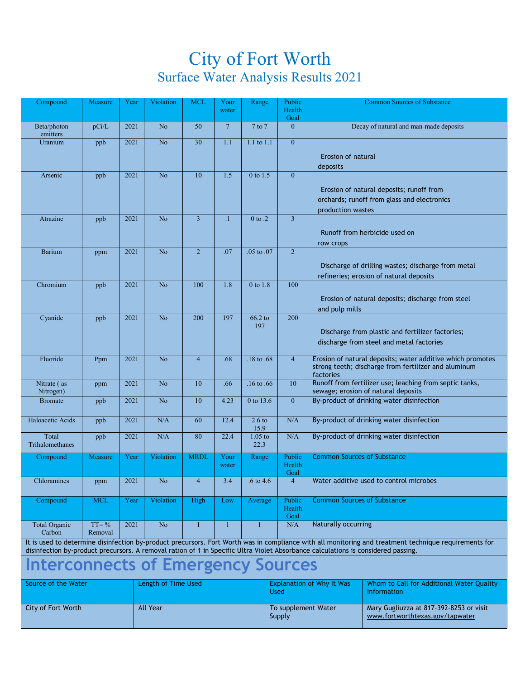## City of Fort Worth Surface Water Analysis Results 2021

| Compound                                                                                                                                                                                                                                                                                   | Measure             | Year | Violation                  | <b>MCL</b>     | Your<br>water   | Range             | Public<br>Health                 |                                           | <b>Common Sources of Substance</b>                         |  |
|--------------------------------------------------------------------------------------------------------------------------------------------------------------------------------------------------------------------------------------------------------------------------------------------|---------------------|------|----------------------------|----------------|-----------------|-------------------|----------------------------------|-------------------------------------------|------------------------------------------------------------|--|
|                                                                                                                                                                                                                                                                                            |                     |      |                            |                |                 |                   | Goal                             |                                           |                                                            |  |
| Beta/photon<br>emitters                                                                                                                                                                                                                                                                    | pCi/L               | 2021 | N <sub>o</sub>             | 50             | $7\overline{ }$ | $7$ to $7$        | $\mathbf{0}$                     |                                           | Decay of natural and man-made deposits                     |  |
| Uranium                                                                                                                                                                                                                                                                                    | ppb                 | 2021 | No                         | 30             | 1.1             | 1.1 to 1.1        | $\mathbf{0}$                     |                                           |                                                            |  |
|                                                                                                                                                                                                                                                                                            |                     |      |                            |                |                 |                   |                                  | Erosion of natural                        |                                                            |  |
|                                                                                                                                                                                                                                                                                            |                     |      |                            |                |                 |                   |                                  | deposits                                  |                                                            |  |
| Arsenic                                                                                                                                                                                                                                                                                    | ppb                 | 2021 | No                         | 10             | 1.5             | 0 to 1.5          | $\mathbf{0}$                     |                                           |                                                            |  |
|                                                                                                                                                                                                                                                                                            |                     |      |                            |                |                 |                   |                                  |                                           | Erosion of natural deposits; runoff from                   |  |
|                                                                                                                                                                                                                                                                                            |                     |      |                            |                |                 |                   |                                  |                                           | orchards; runoff from glass and electronics                |  |
| Atrazine                                                                                                                                                                                                                                                                                   | ppb                 | 2021 | No                         | $\overline{3}$ | $\cdot$ 1       | 0 to .2           | $\overline{3}$                   | production wastes                         |                                                            |  |
|                                                                                                                                                                                                                                                                                            |                     |      |                            |                |                 |                   |                                  |                                           |                                                            |  |
|                                                                                                                                                                                                                                                                                            |                     |      |                            |                |                 |                   |                                  | row crops                                 | Runoff from herbicide used on                              |  |
| Barium                                                                                                                                                                                                                                                                                     | ppm                 | 2021 | No                         | $\overline{2}$ | .07             | .05 to .07        | $\overline{2}$                   |                                           |                                                            |  |
|                                                                                                                                                                                                                                                                                            |                     |      |                            |                |                 |                   |                                  |                                           | Discharge of drilling wastes; discharge from metal         |  |
|                                                                                                                                                                                                                                                                                            |                     |      |                            |                |                 |                   |                                  |                                           | refineries; erosion of natural deposits                    |  |
| Chromium                                                                                                                                                                                                                                                                                   | ppb                 | 2021 | No                         | 100            | 1.8             | $0$ to $1.8$      | 100                              |                                           |                                                            |  |
|                                                                                                                                                                                                                                                                                            |                     |      |                            |                |                 |                   |                                  |                                           | Erosion of natural deposits; discharge from steel          |  |
|                                                                                                                                                                                                                                                                                            |                     |      |                            |                |                 |                   |                                  | and pulp mills                            |                                                            |  |
| Cyanide                                                                                                                                                                                                                                                                                    | ppb                 | 2021 | No                         | 200            | 197             | $66.2$ to<br>197  | 200                              |                                           |                                                            |  |
|                                                                                                                                                                                                                                                                                            |                     |      |                            |                |                 |                   |                                  |                                           | Discharge from plastic and fertilizer factories;           |  |
|                                                                                                                                                                                                                                                                                            |                     |      |                            |                |                 |                   |                                  |                                           | discharge from steel and metal factories                   |  |
| Fluoride                                                                                                                                                                                                                                                                                   | Ppm                 | 2021 | No                         | $\overline{4}$ | .68             | .18 to .68        | $\overline{4}$                   |                                           | Erosion of natural deposits; water additive which promotes |  |
|                                                                                                                                                                                                                                                                                            |                     |      |                            |                |                 |                   |                                  |                                           | strong teeth; discharge from fertilizer and aluminum       |  |
| Nitrate (as                                                                                                                                                                                                                                                                                | ppm                 | 2021 | No                         | 10             | .66             | .16 to $.66$      | 10                               | factories                                 | Runoff from fertilizer use; leaching from septic tanks,    |  |
| Nitrogen)                                                                                                                                                                                                                                                                                  |                     |      |                            |                |                 |                   |                                  | sewage; erosion of natural deposits       |                                                            |  |
| <b>Bromate</b>                                                                                                                                                                                                                                                                             | ppb                 | 2021 | No                         | 10             | 4.23            | 0 to 13.6         | $\overline{0}$                   | By-product of drinking water disinfection |                                                            |  |
| Haloacetic Acids                                                                                                                                                                                                                                                                           | ppb                 | 2021 | N/A                        | 60             | 12.4            | $2.6 \text{ to}$  | N/A                              | By-product of drinking water disinfection |                                                            |  |
| Total                                                                                                                                                                                                                                                                                      | ppb                 | 2021 | N/A                        | 80             | 22.4            | 15.9<br>$1.05$ to | $\rm N/A$                        | By-product of drinking water disinfection |                                                            |  |
| Trihalomethanes                                                                                                                                                                                                                                                                            |                     |      |                            |                |                 | 22.3              |                                  |                                           |                                                            |  |
| Compound                                                                                                                                                                                                                                                                                   | Measure             | Year | Violation                  | <b>MRDL</b>    | Your            | Range             | Public                           | <b>Common Sources of Substance</b>        |                                                            |  |
|                                                                                                                                                                                                                                                                                            |                     |      |                            |                | water           |                   | Health<br>Goal                   |                                           |                                                            |  |
| Chloramines                                                                                                                                                                                                                                                                                | ppm                 | 2021 | No                         | $\overline{4}$ | 3.4             | $.6$ to 4.6       | $\overline{4}$                   | Water additive used to control microbes   |                                                            |  |
| Compound                                                                                                                                                                                                                                                                                   | <b>MCL</b>          | Year | Violation                  | High           | Low             | Average           | Public                           | <b>Common Sources of Substance</b>        |                                                            |  |
|                                                                                                                                                                                                                                                                                            |                     |      |                            |                |                 |                   | Health<br>Goal                   |                                           |                                                            |  |
| <b>Total Organic</b>                                                                                                                                                                                                                                                                       | $TT = \%$           | 2021 | No                         | 1              | 1               | 1                 | N/A                              | Naturally occurring                       |                                                            |  |
| Carbon<br>Removal                                                                                                                                                                                                                                                                          |                     |      |                            |                |                 |                   |                                  |                                           |                                                            |  |
| It is used to determine disinfection by-product precursors. Fort Worth was in compliance with all monitoring and treatment technique requirements for<br>disinfection by-product precursors. A removal ration of 1 in Specific Ultra Violet Absorbance calculations is considered passing. |                     |      |                            |                |                 |                   |                                  |                                           |                                                            |  |
| Interconnects of Emergency Sources                                                                                                                                                                                                                                                         |                     |      |                            |                |                 |                   |                                  |                                           |                                                            |  |
|                                                                                                                                                                                                                                                                                            | Source of the Water |      | <b>Length of Time Used</b> |                |                 |                   | <b>Explanation of Why It Was</b> |                                           | Whom to Call for Additional Water Quality                  |  |
|                                                                                                                                                                                                                                                                                            |                     |      |                            |                |                 |                   | <b>Used</b>                      | Information                               |                                                            |  |
| <b>City of Fort Worth</b>                                                                                                                                                                                                                                                                  |                     |      | <b>All Year</b>            |                |                 |                   | To supplement Water              | Mary Gugliuzza at 817-392-8253 or visit   |                                                            |  |
|                                                                                                                                                                                                                                                                                            |                     |      |                            |                |                 |                   | Supply                           |                                           | www.fortworthtexas.gov/tapwater                            |  |